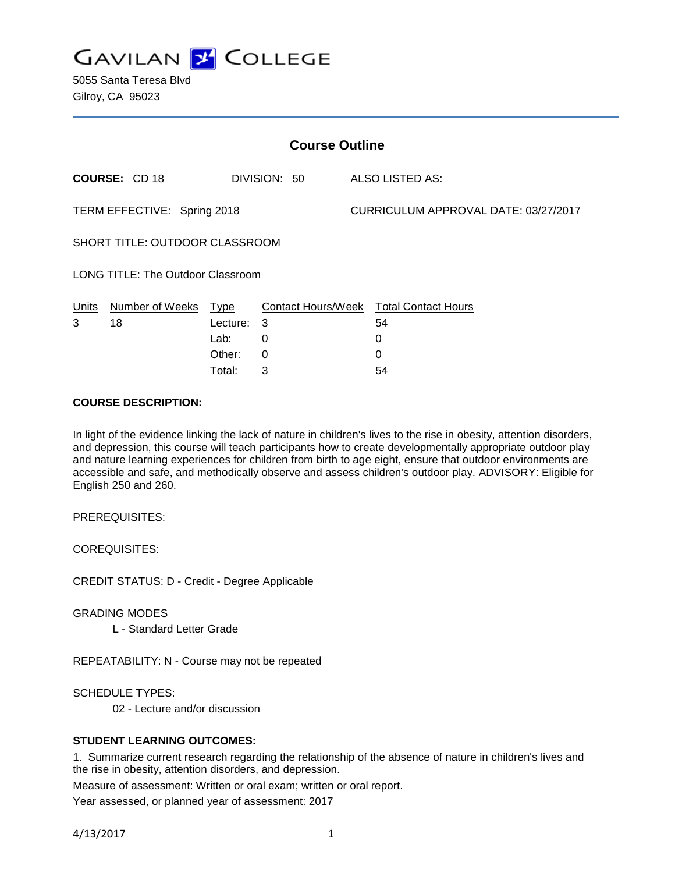

| <b>Course Outline</b>             |                      |          |              |                                      |                                        |
|-----------------------------------|----------------------|----------|--------------|--------------------------------------|----------------------------------------|
|                                   | <b>COURSE: CD 18</b> |          | DIVISION: 50 |                                      | ALSO LISTED AS:                        |
| TERM EFFECTIVE: Spring 2018       |                      |          |              | CURRICULUM APPROVAL DATE: 03/27/2017 |                                        |
| SHORT TITLE: OUTDOOR CLASSROOM    |                      |          |              |                                      |                                        |
| LONG TITLE: The Outdoor Classroom |                      |          |              |                                      |                                        |
| Units                             | Number of Weeks      | Type     |              |                                      | Contact Hours/Week Total Contact Hours |
| 3                                 | 18                   | Lecture: | 3            |                                      | 54                                     |
|                                   |                      | Lab:     | 0            |                                      | 0                                      |
|                                   |                      | Other:   | $\Omega$     |                                      | 0                                      |
|                                   |                      | Total:   | 3            |                                      | 54                                     |

### **COURSE DESCRIPTION:**

In light of the evidence linking the lack of nature in children's lives to the rise in obesity, attention disorders, and depression, this course will teach participants how to create developmentally appropriate outdoor play and nature learning experiences for children from birth to age eight, ensure that outdoor environments are accessible and safe, and methodically observe and assess children's outdoor play. ADVISORY: Eligible for English 250 and 260.

PREREQUISITES:

COREQUISITES:

CREDIT STATUS: D - Credit - Degree Applicable

GRADING MODES

L - Standard Letter Grade

REPEATABILITY: N - Course may not be repeated

SCHEDULE TYPES:

02 - Lecture and/or discussion

### **STUDENT LEARNING OUTCOMES:**

1. Summarize current research regarding the relationship of the absence of nature in children's lives and the rise in obesity, attention disorders, and depression.

Measure of assessment: Written or oral exam; written or oral report.

Year assessed, or planned year of assessment: 2017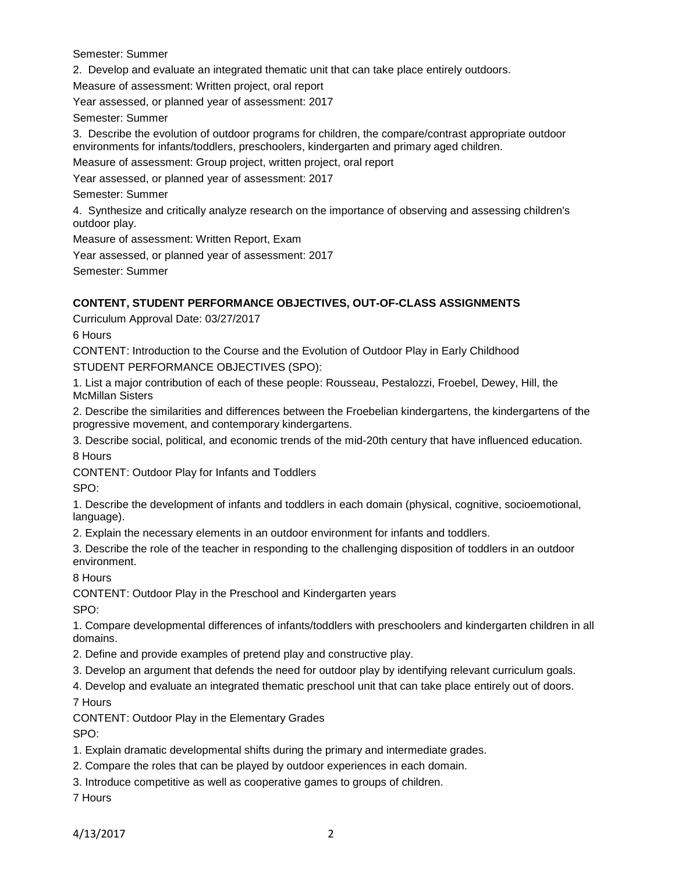Semester: Summer

2. Develop and evaluate an integrated thematic unit that can take place entirely outdoors.

Measure of assessment: Written project, oral report

Year assessed, or planned year of assessment: 2017

Semester: Summer

3. Describe the evolution of outdoor programs for children, the compare/contrast appropriate outdoor environments for infants/toddlers, preschoolers, kindergarten and primary aged children.

Measure of assessment: Group project, written project, oral report

Year assessed, or planned year of assessment: 2017

Semester: Summer

4. Synthesize and critically analyze research on the importance of observing and assessing children's outdoor play.

Measure of assessment: Written Report, Exam

Year assessed, or planned year of assessment: 2017

Semester: Summer

# **CONTENT, STUDENT PERFORMANCE OBJECTIVES, OUT-OF-CLASS ASSIGNMENTS**

Curriculum Approval Date: 03/27/2017

6 Hours

CONTENT: Introduction to the Course and the Evolution of Outdoor Play in Early Childhood

STUDENT PERFORMANCE OBJECTIVES (SPO):

1. List a major contribution of each of these people: Rousseau, Pestalozzi, Froebel, Dewey, Hill, the McMillan Sisters

2. Describe the similarities and differences between the Froebelian kindergartens, the kindergartens of the progressive movement, and contemporary kindergartens.

3. Describe social, political, and economic trends of the mid-20th century that have influenced education.

8 Hours

CONTENT: Outdoor Play for Infants and Toddlers

SPO:

1. Describe the development of infants and toddlers in each domain (physical, cognitive, socioemotional, language).

2. Explain the necessary elements in an outdoor environment for infants and toddlers.

3. Describe the role of the teacher in responding to the challenging disposition of toddlers in an outdoor environment.

8 Hours

CONTENT: Outdoor Play in the Preschool and Kindergarten years

SPO:

1. Compare developmental differences of infants/toddlers with preschoolers and kindergarten children in all domains.

- 2. Define and provide examples of pretend play and constructive play.
- 3. Develop an argument that defends the need for outdoor play by identifying relevant curriculum goals.

4. Develop and evaluate an integrated thematic preschool unit that can take place entirely out of doors.

7 Hours

CONTENT: Outdoor Play in the Elementary Grades

SPO:

- 1. Explain dramatic developmental shifts during the primary and intermediate grades.
- 2. Compare the roles that can be played by outdoor experiences in each domain.
- 3. Introduce competitive as well as cooperative games to groups of children.

7 Hours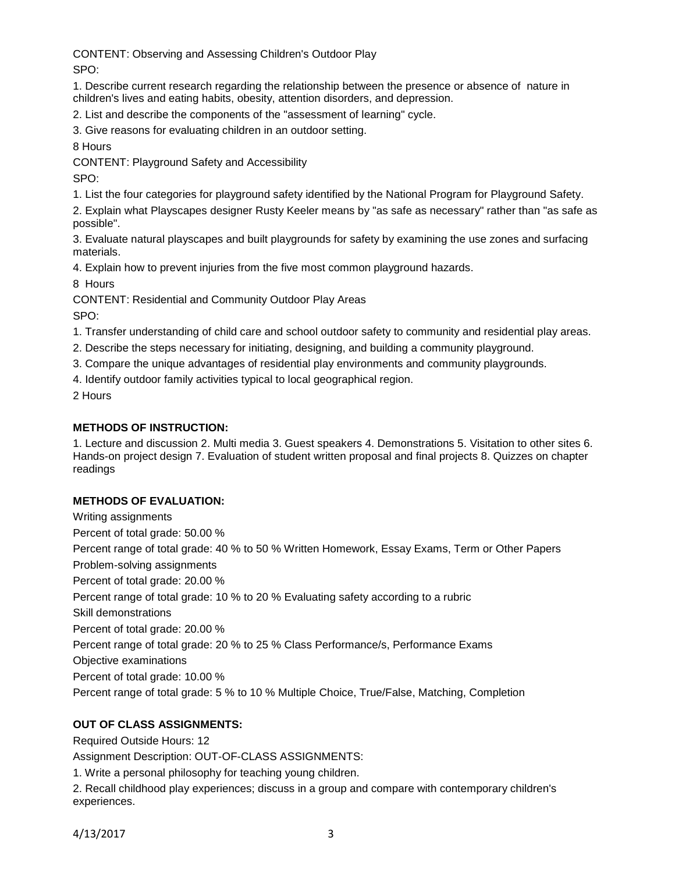CONTENT: Observing and Assessing Children's Outdoor Play SPO:

1. Describe current research regarding the relationship between the presence or absence of nature in children's lives and eating habits, obesity, attention disorders, and depression.

2. List and describe the components of the "assessment of learning" cycle.

3. Give reasons for evaluating children in an outdoor setting.

8 Hours

CONTENT: Playground Safety and Accessibility

SPO:

1. List the four categories for playground safety identified by the National Program for Playground Safety.

2. Explain what Playscapes designer Rusty Keeler means by "as safe as necessary" rather than "as safe as possible".

3. Evaluate natural playscapes and built playgrounds for safety by examining the use zones and surfacing materials.

4. Explain how to prevent injuries from the five most common playground hazards.

8 Hours

CONTENT: Residential and Community Outdoor Play Areas

SPO:

- 1. Transfer understanding of child care and school outdoor safety to community and residential play areas.
- 2. Describe the steps necessary for initiating, designing, and building a community playground.
- 3. Compare the unique advantages of residential play environments and community playgrounds.

4. Identify outdoor family activities typical to local geographical region.

2 Hours

# **METHODS OF INSTRUCTION:**

1. Lecture and discussion 2. Multi media 3. Guest speakers 4. Demonstrations 5. Visitation to other sites 6. Hands-on project design 7. Evaluation of student written proposal and final projects 8. Quizzes on chapter readings

### **METHODS OF EVALUATION:**

Writing assignments Percent of total grade: 50.00 % Percent range of total grade: 40 % to 50 % Written Homework, Essay Exams, Term or Other Papers Problem-solving assignments Percent of total grade: 20.00 % Percent range of total grade: 10 % to 20 % Evaluating safety according to a rubric Skill demonstrations Percent of total grade: 20.00 % Percent range of total grade: 20 % to 25 % Class Performance/s, Performance Exams Objective examinations Percent of total grade: 10.00 % Percent range of total grade: 5 % to 10 % Multiple Choice, True/False, Matching, Completion

# **OUT OF CLASS ASSIGNMENTS:**

Required Outside Hours: 12

Assignment Description: OUT-OF-CLASS ASSIGNMENTS:

1. Write a personal philosophy for teaching young children.

2. Recall childhood play experiences; discuss in a group and compare with contemporary children's experiences.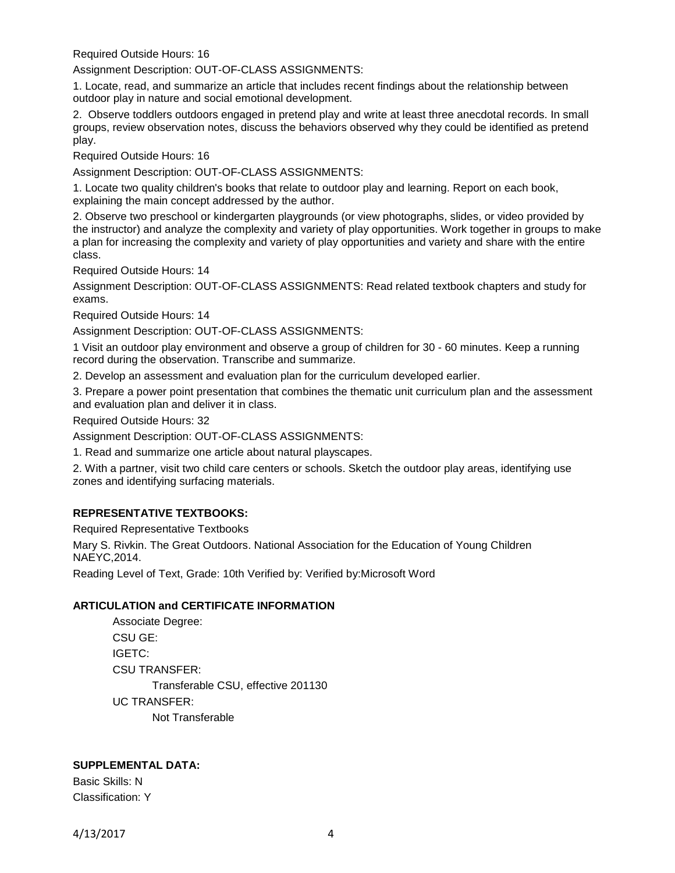Required Outside Hours: 16

Assignment Description: OUT-OF-CLASS ASSIGNMENTS:

1. Locate, read, and summarize an article that includes recent findings about the relationship between outdoor play in nature and social emotional development.

2. Observe toddlers outdoors engaged in pretend play and write at least three anecdotal records. In small groups, review observation notes, discuss the behaviors observed why they could be identified as pretend play.

Required Outside Hours: 16

Assignment Description: OUT-OF-CLASS ASSIGNMENTS:

1. Locate two quality children's books that relate to outdoor play and learning. Report on each book, explaining the main concept addressed by the author.

2. Observe two preschool or kindergarten playgrounds (or view photographs, slides, or video provided by the instructor) and analyze the complexity and variety of play opportunities. Work together in groups to make a plan for increasing the complexity and variety of play opportunities and variety and share with the entire class.

Required Outside Hours: 14

Assignment Description: OUT-OF-CLASS ASSIGNMENTS: Read related textbook chapters and study for exams.

Required Outside Hours: 14

Assignment Description: OUT-OF-CLASS ASSIGNMENTS:

1 Visit an outdoor play environment and observe a group of children for 30 - 60 minutes. Keep a running record during the observation. Transcribe and summarize.

2. Develop an assessment and evaluation plan for the curriculum developed earlier.

3. Prepare a power point presentation that combines the thematic unit curriculum plan and the assessment and evaluation plan and deliver it in class.

Required Outside Hours: 32

Assignment Description: OUT-OF-CLASS ASSIGNMENTS:

1. Read and summarize one article about natural playscapes.

2. With a partner, visit two child care centers or schools. Sketch the outdoor play areas, identifying use zones and identifying surfacing materials.

### **REPRESENTATIVE TEXTBOOKS:**

Required Representative Textbooks

Mary S. Rivkin. The Great Outdoors. National Association for the Education of Young Children NAEYC,2014.

Reading Level of Text, Grade: 10th Verified by: Verified by:Microsoft Word

### **ARTICULATION and CERTIFICATE INFORMATION**

Associate Degree: CSU GE: IGETC: CSU TRANSFER: Transferable CSU, effective 201130 UC TRANSFER: Not Transferable

#### **SUPPLEMENTAL DATA:**

Basic Skills: N Classification: Y